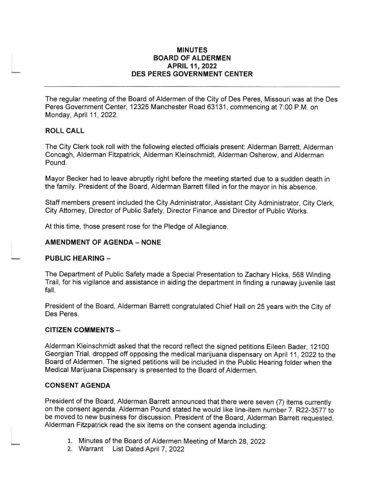#### MINUTES BOARD OF ALDERMEN APR|L 11,2022 DES PERES GOVERNMENT CENTER

The regular meeting of the Board of Aldermen of the City of Des Peres, Missouri was at the Des Peres Government Center, 12325 Manchester Road 63131, commencing at 7:00 P.M. on Monday, April 11, 2022.

## ROLL CALL

The City Clerk took roll with the following elected officials present: Alderman Barrett, Alderman Concagh, Alderman Fitzpatrick, Alderman Kleinschmidt, Alderman Osherow, and Alderman Pound.

Mayor Becker had to leave abruptly right before the meeting started due to a sudden death in the family. President of the Board, Alderman Barrett filled in for the mayor in his absence.

Staff members present included the City Administrator, Assistant City Administrator, City Clerk, City Attorney, Director of Public Safety, Director Finance and Director of Public Works.

At this time, those present rose for the Pledge of Allegiance

### **AMENDMENT OF AGENDA - NONE**

#### PUBLIC HEARING -

The Department of Public Safety made a Special Presentation to Zachary Hicks, 568 Wnding Trail, for his vigilance and assistance in aiding the department in finding a runaway juvenile last fall.

President of the Board, Alderman Barrett congratulated Chief Hall on 25 years with the City of Des Peres.

## CITIZEN COMMENTS -

Alderman Kleinschmidt asked that the record reflect the signed petitions Eileen Bader, 12100 Georgian Trial, dropped off opposing the medical marijuana dispensary on April 11, 2022 to the Board of Aldermen. The signed petitions will be included in the Public Hearing folder when the Medical Marijuana Dispensary is presented to the Board of Aldermen.

#### CONSENT AGENDA

President of the Board, Alderman Barrett announced that there were seven (7) items currently on the consent agenda. Alderman Pound stated he would like line-item number 7. R22-3577 lo be moved to new business for discussion. President of the Board, Alderman Barrett requested, Alderman Fitzpatrick read the six items on the consent agenda including:

- 1. Minutes of the Board of Aldermen Meeting of March 28, 2022
- 2. Warrant List Dated April 7, 2022